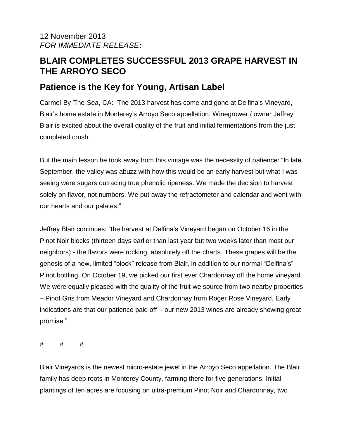## **BLAIR COMPLETES SUCCESSFUL 2013 GRAPE HARVEST IN THE ARROYO SECO**

## **Patience is the Key for Young, Artisan Label**

Carmel-By-The-Sea, CA: The 2013 harvest has come and gone at Delfina's Vineyard, Blair's home estate in Monterey's Arroyo Seco appellation. Winegrower / owner Jeffrey Blair is excited about the overall quality of the fruit and initial fermentations from the just completed crush.

But the main lesson he took away from this vintage was the necessity of patience: "In late September, the valley was abuzz with how this would be an early harvest but what I was seeing were sugars outracing true phenolic ripeness. We made the decision to harvest solely on flavor, not numbers. We put away the refractometer and calendar and went with our hearts and our palates."

Jeffrey Blair continues: "the harvest at Delfina's Vineyard began on October 16 in the Pinot Noir blocks (thirteen days earlier than last year but two weeks later than most our neighbors) - the flavors were rocking, absolutely off the charts. These grapes will be the genesis of a new, limited "block" release from Blair, in addition to our normal "Delfina's" Pinot bottling. On October 19, we picked our first ever Chardonnay off the home vineyard. We were equally pleased with the quality of the fruit we source from two nearby properties – Pinot Gris from Meador Vineyard and Chardonnay from Roger Rose Vineyard. Early indications are that our patience paid off – our new 2013 wines are already showing great promise."

# # #

Blair Vineyards is the newest micro-estate jewel in the Arroyo Seco appellation. The Blair family has deep roots in Monterey County, farming there for five generations. Initial plantings of ten acres are focusing on ultra-premium Pinot Noir and Chardonnay, two